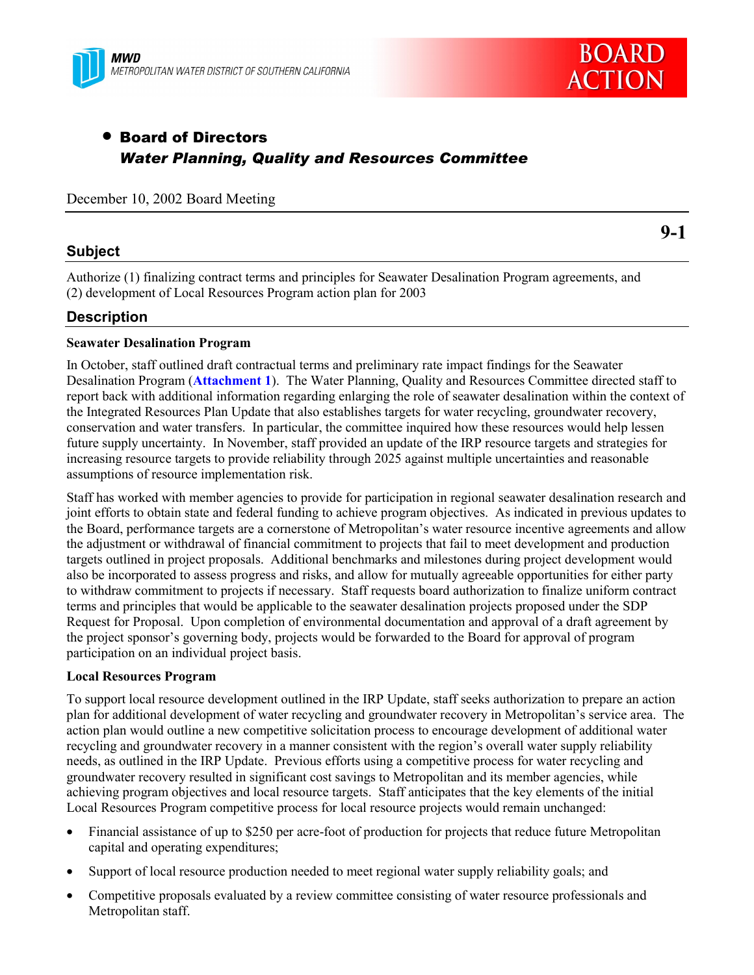



# • Board of Directors *Water Planning, Quality and Resources Committee*

December 10, 2002 Board Meeting

#### **Subject**

**9-1**

Authorize (1) finalizing contract terms and principles for Seawater Desalination Program agreements, and (2) development of Local Resources Program action plan for 2003

#### **Description**

#### **Seawater Desalination Program**

In October, staff outlined draft contractual terms and preliminary rate impact findings for the Seawater Desalination Program (**Attachment 1**). The Water Planning, Quality and Resources Committee directed staff to report back with additional information regarding enlarging the role of seawater desalination within the context of the Integrated Resources Plan Update that also establishes targets for water recycling, groundwater recovery, conservation and water transfers. In particular, the committee inquired how these resources would help lessen future supply uncertainty. In November, staff provided an update of the IRP resource targets and strategies for increasing resource targets to provide reliability through 2025 against multiple uncertainties and reasonable assumptions of resource implementation risk.

Staff has worked with member agencies to provide for participation in regional seawater desalination research and joint efforts to obtain state and federal funding to achieve program objectives. As indicated in previous updates to the Board, performance targets are a cornerstone of Metropolitan's water resource incentive agreements and allow the adjustment or withdrawal of financial commitment to projects that fail to meet development and production targets outlined in project proposals. Additional benchmarks and milestones during project development would also be incorporated to assess progress and risks, and allow for mutually agreeable opportunities for either party to withdraw commitment to projects if necessary. Staff requests board authorization to finalize uniform contract terms and principles that would be applicable to the seawater desalination projects proposed under the SDP Request for Proposal. Upon completion of environmental documentation and approval of a draft agreement by the project sponsorís governing body, projects would be forwarded to the Board for approval of program participation on an individual project basis.

#### **Local Resources Program**

To support local resource development outlined in the IRP Update, staff seeks authorization to prepare an action plan for additional development of water recycling and groundwater recovery in Metropolitanís service area. The action plan would outline a new competitive solicitation process to encourage development of additional water recycling and groundwater recovery in a manner consistent with the region's overall water supply reliability needs, as outlined in the IRP Update. Previous efforts using a competitive process for water recycling and groundwater recovery resulted in significant cost savings to Metropolitan and its member agencies, while achieving program objectives and local resource targets. Staff anticipates that the key elements of the initial Local Resources Program competitive process for local resource projects would remain unchanged:

- Financial assistance of up to \$250 per acre-foot of production for projects that reduce future Metropolitan capital and operating expenditures;
- Support of local resource production needed to meet regional water supply reliability goals; and
- Competitive proposals evaluated by a review committee consisting of water resource professionals and Metropolitan staff.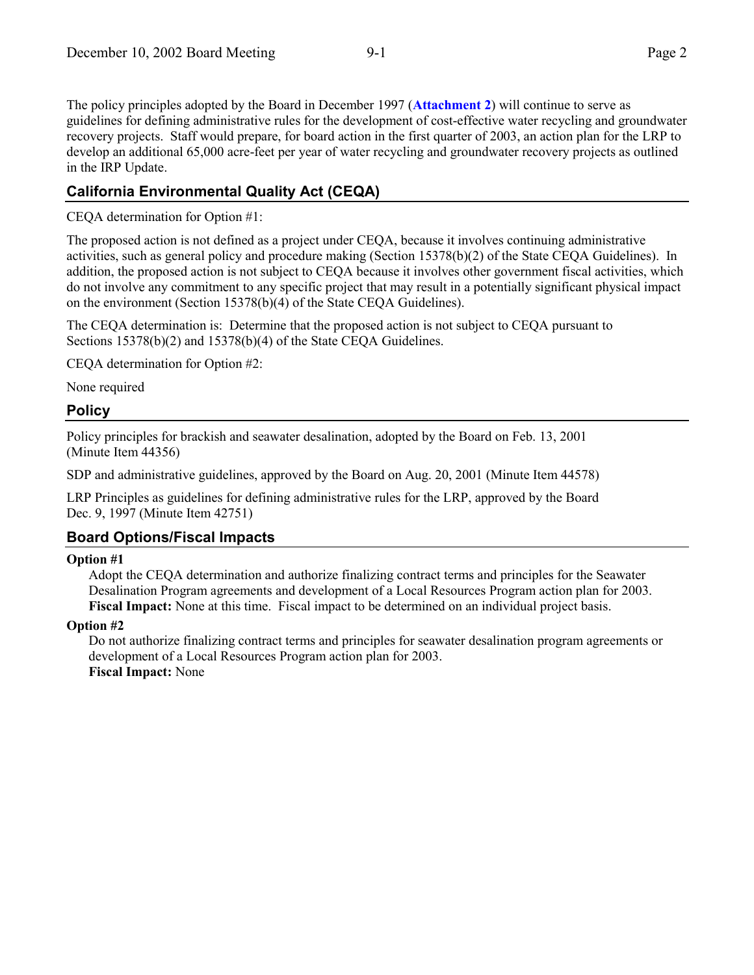The policy principles adopted by the Board in December 1997 (**Attachment 2**) will continue to serve as guidelines for defining administrative rules for the development of cost-effective water recycling and groundwater recovery projects. Staff would prepare, for board action in the first quarter of 2003, an action plan for the LRP to develop an additional 65,000 acre-feet per year of water recycling and groundwater recovery projects as outlined in the IRP Update.

### **California Environmental Quality Act (CEQA)**

CEQA determination for Option #1:

The proposed action is not defined as a project under CEQA, because it involves continuing administrative activities, such as general policy and procedure making (Section 15378(b)(2) of the State CEQA Guidelines). In addition, the proposed action is not subject to CEQA because it involves other government fiscal activities, which do not involve any commitment to any specific project that may result in a potentially significant physical impact on the environment (Section 15378(b)(4) of the State CEQA Guidelines).

The CEQA determination is: Determine that the proposed action is not subject to CEQA pursuant to Sections 15378(b)(2) and 15378(b)(4) of the State CEQA Guidelines.

CEQA determination for Option #2:

None required

#### **Policy**

Policy principles for brackish and seawater desalination, adopted by the Board on Feb. 13, 2001 (Minute Item 44356)

SDP and administrative guidelines, approved by the Board on Aug. 20, 2001 (Minute Item 44578)

LRP Principles as guidelines for defining administrative rules for the LRP, approved by the Board Dec. 9, 1997 (Minute Item 42751)

#### **Board Options/Fiscal Impacts**

#### **Option #1**

Adopt the CEQA determination and authorize finalizing contract terms and principles for the Seawater Desalination Program agreements and development of a Local Resources Program action plan for 2003. **Fiscal Impact:** None at this time. Fiscal impact to be determined on an individual project basis.

#### **Option #2**

Do not authorize finalizing contract terms and principles for seawater desalination program agreements or development of a Local Resources Program action plan for 2003. **Fiscal Impact:** None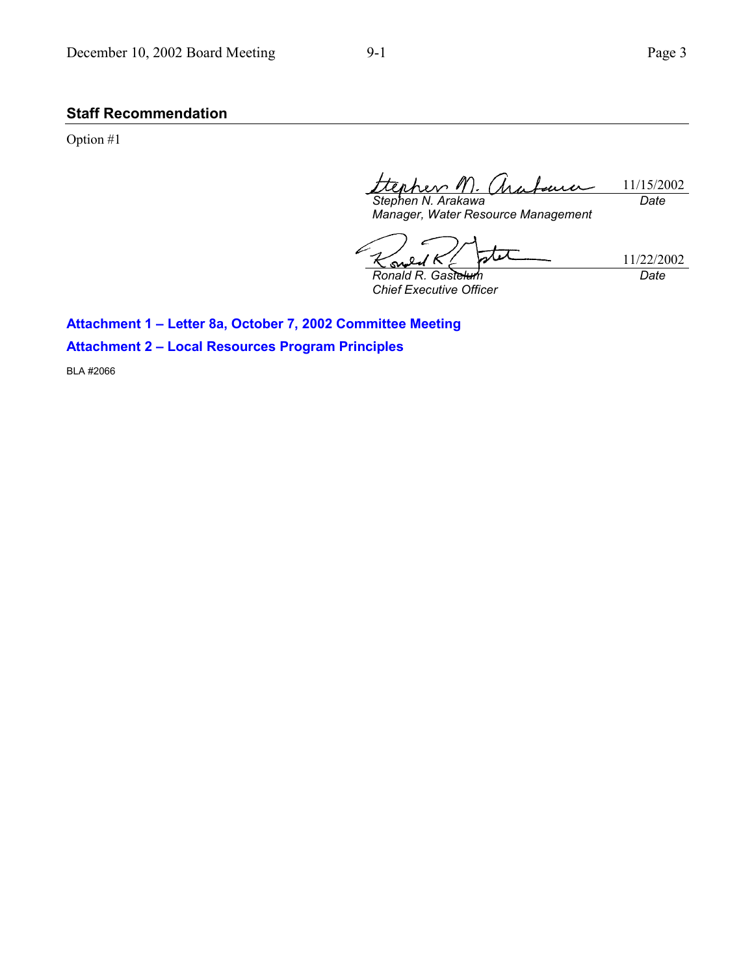### **Staff Recommendation**

Option #1

11/15/2002 *Stephen N. Arakawa Date*

*Manager, Water Resource Management*

stet 11/22/2002 K **ی** *Ronald R. Gastelum Date*

*Chief Executive Officer*

Attachment 1 - Letter 8a, October 7, 2002 Committee Meeting

**Attachment 2 - Local Resources Program Principles** 

BLA #2066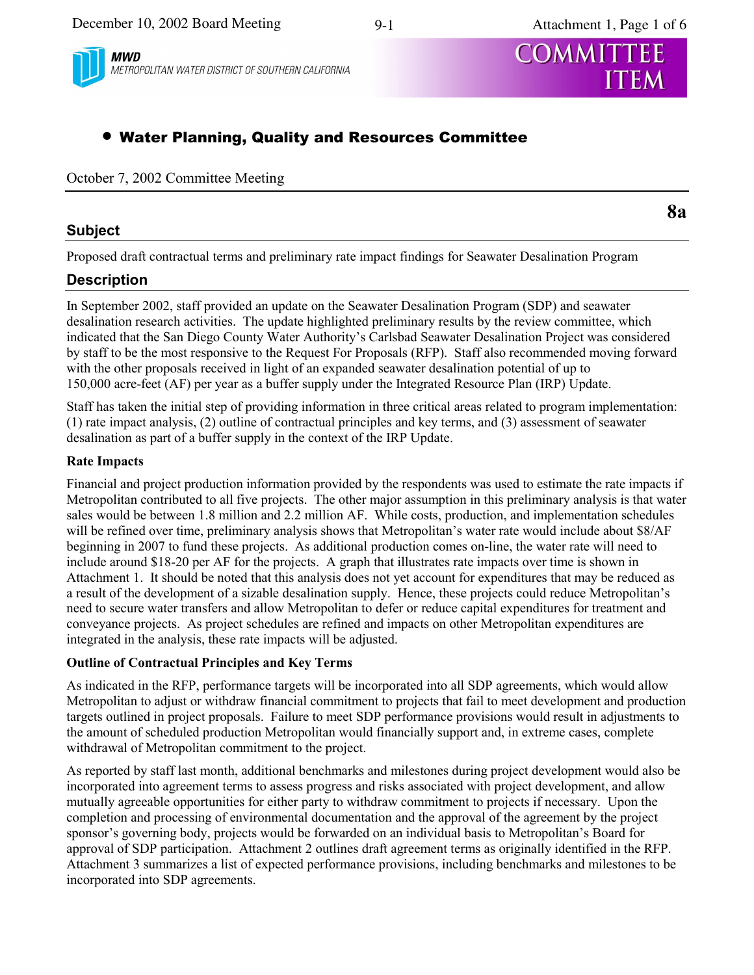



METROPOLITAN WATER DISTRICT OF SOUTHERN CALIFORNIA



# **. Water Planning, Quality and Resources Committee**

October 7, 2002 Committee Meeting

#### **Subject**

**8a** 

Proposed draft contractual terms and preliminary rate impact findings for Seawater Desalination Program

## **Description**

In September 2002, staff provided an update on the Seawater Desalination Program (SDP) and seawater desalination research activities. The update highlighted preliminary results by the review committee, which indicated that the San Diego County Water Authority's Carlsbad Seawater Desalination Project was considered by staff to be the most responsive to the Request For Proposals (RFP). Staff also recommended moving forward with the other proposals received in light of an expanded seawater desalination potential of up to 150,000 acre-feet (AF) per year as a buffer supply under the Integrated Resource Plan (IRP) Update.

Staff has taken the initial step of providing information in three critical areas related to program implementation: (1) rate impact analysis, (2) outline of contractual principles and key terms, and (3) assessment of seawater desalination as part of a buffer supply in the context of the IRP Update.

#### **Rate Impacts**

Financial and project production information provided by the respondents was used to estimate the rate impacts if Metropolitan contributed to all five projects. The other major assumption in this preliminary analysis is that water sales would be between 1.8 million and 2.2 million AF. While costs, production, and implementation schedules will be refined over time, preliminary analysis shows that Metropolitan's water rate would include about \$8/AF beginning in 2007 to fund these projects. As additional production comes on-line, the water rate will need to include around \$18-20 per AF for the projects. A graph that illustrates rate impacts over time is shown in Attachment 1. It should be noted that this analysis does not yet account for expenditures that may be reduced as a result of the development of a sizable desalination supply. Hence, these projects could reduce Metropolitan's need to secure water transfers and allow Metropolitan to defer or reduce capital expenditures for treatment and conveyance projects. As project schedules are refined and impacts on other Metropolitan expenditures are integrated in the analysis, these rate impacts will be adjusted.

#### **Outline of Contractual Principles and Key Terms**

As indicated in the RFP, performance targets will be incorporated into all SDP agreements, which would allow Metropolitan to adjust or withdraw financial commitment to projects that fail to meet development and production targets outlined in project proposals. Failure to meet SDP performance provisions would result in adjustments to the amount of scheduled production Metropolitan would financially support and, in extreme cases, complete withdrawal of Metropolitan commitment to the project.

As reported by staff last month, additional benchmarks and milestones during project development would also be incorporated into agreement terms to assess progress and risks associated with project development, and allow mutually agreeable opportunities for either party to withdraw commitment to projects if necessary. Upon the completion and processing of environmental documentation and the approval of the agreement by the project sponsor's governing body, projects would be forwarded on an individual basis to Metropolitan's Board for approval of SDP participation. Attachment 2 outlines draft agreement terms as originally identified in the RFP. Attachment 3 summarizes a list of expected performance provisions, including benchmarks and milestones to be incorporated into SDP agreements.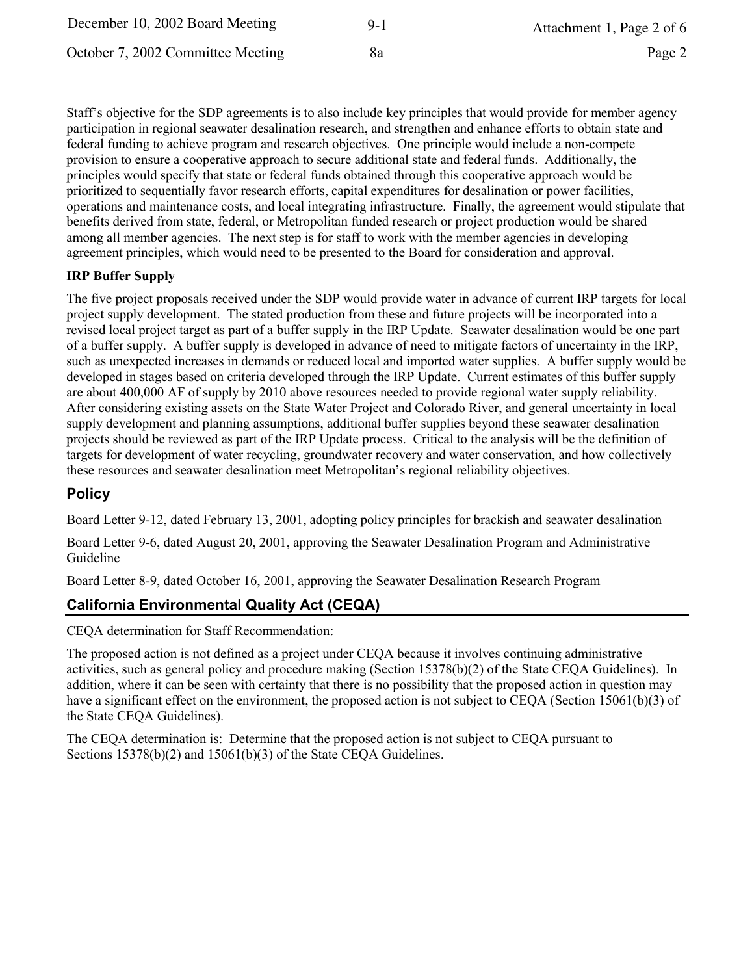| December 10, 2002 Board Meeting   | $9-1$ | Attachment 1, Page 2 of 6 |
|-----------------------------------|-------|---------------------------|
| October 7, 2002 Committee Meeting | 8a    | Page 2                    |

Staff's objective for the SDP agreements is to also include key principles that would provide for member agency participation in regional seawater desalination research, and strengthen and enhance efforts to obtain state and federal funding to achieve program and research objectives. One principle would include a non-compete provision to ensure a cooperative approach to secure additional state and federal funds. Additionally, the principles would specify that state or federal funds obtained through this cooperative approach would be prioritized to sequentially favor research efforts, capital expenditures for desalination or power facilities, operations and maintenance costs, and local integrating infrastructure. Finally, the agreement would stipulate that benefits derived from state, federal, or Metropolitan funded research or project production would be shared among all member agencies. The next step is for staff to work with the member agencies in developing agreement principles, which would need to be presented to the Board for consideration and approval.

#### **IRP Buffer Supply**

The five project proposals received under the SDP would provide water in advance of current IRP targets for local project supply development. The stated production from these and future projects will be incorporated into a revised local project target as part of a buffer supply in the IRP Update. Seawater desalination would be one part of a buffer supply. A buffer supply is developed in advance of need to mitigate factors of uncertainty in the IRP, such as unexpected increases in demands or reduced local and imported water supplies. A buffer supply would be developed in stages based on criteria developed through the IRP Update. Current estimates of this buffer supply are about 400,000 AF of supply by 2010 above resources needed to provide regional water supply reliability. After considering existing assets on the State Water Project and Colorado River, and general uncertainty in local supply development and planning assumptions, additional buffer supplies beyond these seawater desalination projects should be reviewed as part of the IRP Update process. Critical to the analysis will be the definition of targets for development of water recycling, groundwater recovery and water conservation, and how collectively these resources and seawater desalination meet Metropolitan's regional reliability objectives.

#### **Policy**

Board Letter 9-12, dated February 13, 2001, adopting policy principles for brackish and seawater desalination

Board Letter 9-6, dated August 20, 2001, approving the Seawater Desalination Program and Administrative Guideline

Board Letter 8-9, dated October 16, 2001, approving the Seawater Desalination Research Program

#### **California Environmental Quality Act (CEQA)**

CEQA determination for Staff Recommendation:

The proposed action is not defined as a project under CEQA because it involves continuing administrative activities, such as general policy and procedure making (Section 15378(b)(2) of the State CEOA Guidelines). In addition, where it can be seen with certainty that there is no possibility that the proposed action in question may have a significant effect on the environment, the proposed action is not subject to CEQA (Section 15061(b)(3) of the State CEQA Guidelines).

The CEQA determination is: Determine that the proposed action is not subject to CEQA pursuant to Sections  $15378(b)(2)$  and  $15061(b)(3)$  of the State CEQA Guidelines.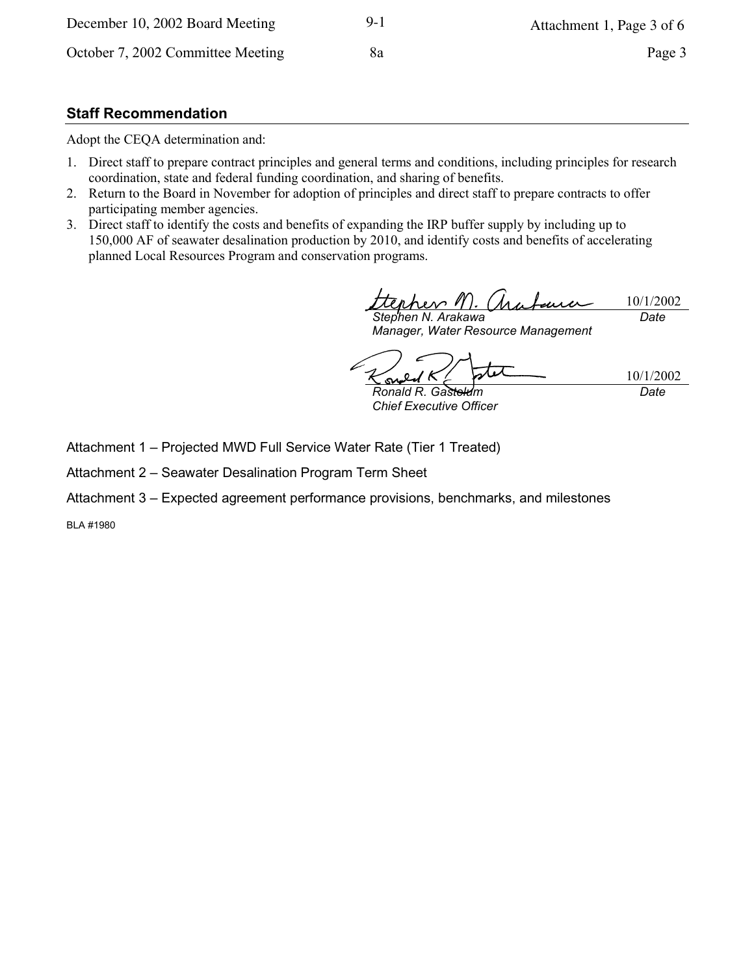#### **Staff Recommendation**

Adopt the CEQA determination and:

- 1. Direct staff to prepare contract principles and general terms and conditions, including principles for research coordination, state and federal funding coordination, and sharing of benefits.
- 2. Return to the Board in November for adoption of principles and direct staff to prepare contracts to offer participating member agencies.
- 3. Direct staff to identify the costs and benefits of expanding the IRP buffer supply by including up to 150,000 AF of seawater desalination production by 2010, and identify costs and benefits of accelerating planned Local Resources Program and conservation programs.

tenhev " 10/1/2002 Stephen N. Arakawa Date

Manager, Water Resource Management

10/1/2002 s Ronald R. Gasteldm Date

**Chief Executive Officer** 

Attachment 1 - Projected MWD Full Service Water Rate (Tier 1 Treated)

Attachment 2 - Seawater Desalination Program Term Sheet

Attachment 3 - Expected agreement performance provisions, benchmarks, and milestones

**BLA #1980**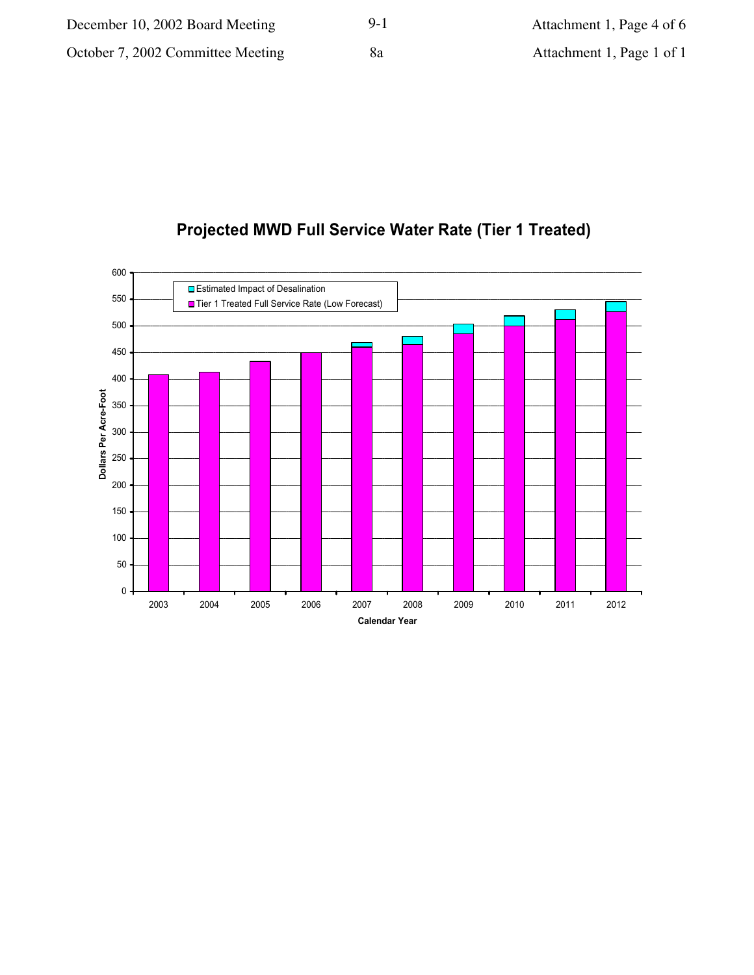# **Projected MWD Full Service Water Rate (Tier 1 Treated)**

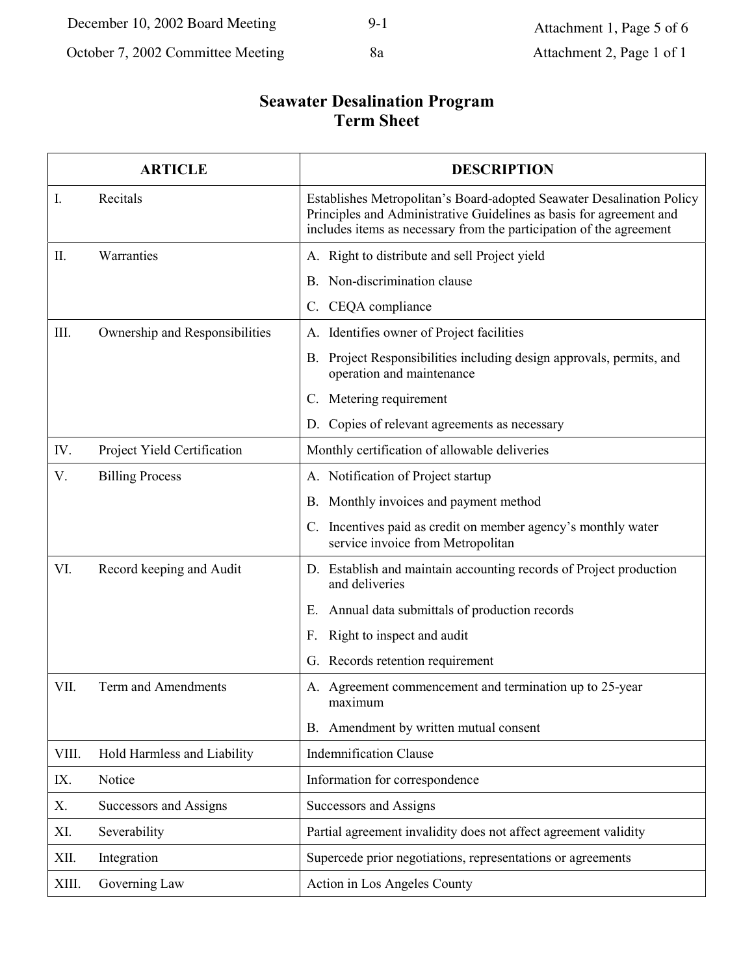# **Seawater Desalination Program<br>Term Sheet**

|                | <b>ARTICLE</b>                 | <b>DESCRIPTION</b>                                                                                                                                                                                                  |  |
|----------------|--------------------------------|---------------------------------------------------------------------------------------------------------------------------------------------------------------------------------------------------------------------|--|
| $\mathbf{I}$ . | Recitals                       | Establishes Metropolitan's Board-adopted Seawater Desalination Policy<br>Principles and Administrative Guidelines as basis for agreement and<br>includes items as necessary from the participation of the agreement |  |
| П.             | Warranties                     | A. Right to distribute and sell Project yield                                                                                                                                                                       |  |
|                |                                | B. Non-discrimination clause                                                                                                                                                                                        |  |
|                |                                | CEQA compliance<br>$\mathcal{C}$ .                                                                                                                                                                                  |  |
| III.           | Ownership and Responsibilities | A. Identifies owner of Project facilities                                                                                                                                                                           |  |
|                |                                | B. Project Responsibilities including design approvals, permits, and<br>operation and maintenance                                                                                                                   |  |
|                |                                | C. Metering requirement                                                                                                                                                                                             |  |
|                |                                | D. Copies of relevant agreements as necessary                                                                                                                                                                       |  |
| IV.            | Project Yield Certification    | Monthly certification of allowable deliveries                                                                                                                                                                       |  |
| V.             | <b>Billing Process</b>         | A. Notification of Project startup                                                                                                                                                                                  |  |
|                |                                | B. Monthly invoices and payment method                                                                                                                                                                              |  |
|                |                                | C. Incentives paid as credit on member agency's monthly water<br>service invoice from Metropolitan                                                                                                                  |  |
| VI.            | Record keeping and Audit       | D. Establish and maintain accounting records of Project production<br>and deliveries                                                                                                                                |  |
|                |                                | Annual data submittals of production records<br>Е.                                                                                                                                                                  |  |
|                |                                | Right to inspect and audit<br>F.                                                                                                                                                                                    |  |
|                |                                | G. Records retention requirement                                                                                                                                                                                    |  |
| VII.           | Term and Amendments            | A. Agreement commencement and termination up to 25-year<br>maximum                                                                                                                                                  |  |
|                |                                | B. Amendment by written mutual consent                                                                                                                                                                              |  |
| VIII.          | Hold Harmless and Liability    | <b>Indemnification Clause</b>                                                                                                                                                                                       |  |
| IX.            | Notice                         | Information for correspondence                                                                                                                                                                                      |  |
| X.             | Successors and Assigns         | Successors and Assigns                                                                                                                                                                                              |  |
| XI.            | Severability                   | Partial agreement invalidity does not affect agreement validity                                                                                                                                                     |  |
| XII.           | Integration                    | Supercede prior negotiations, representations or agreements                                                                                                                                                         |  |
| XIII.          | Governing Law                  | Action in Los Angeles County                                                                                                                                                                                        |  |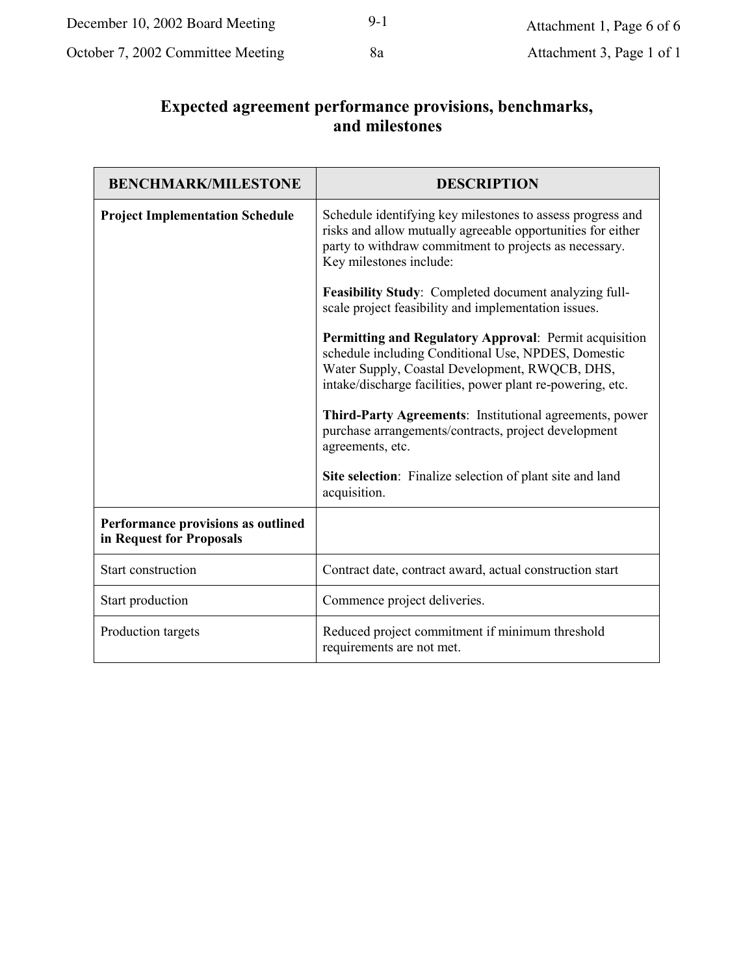| December 10, 2002 Board Meeting   | $9 - 1$ | Attachment 1, Page 6 of 6 |
|-----------------------------------|---------|---------------------------|
| October 7, 2002 Committee Meeting | 8a      | Attachment 3, Page 1 of 1 |

# Expected agreement performance provisions, benchmarks,<br>and milestones

| <b>BENCHMARK/MILESTONE</b>                                     | <b>DESCRIPTION</b>                                                                                                                                                                                                            |  |
|----------------------------------------------------------------|-------------------------------------------------------------------------------------------------------------------------------------------------------------------------------------------------------------------------------|--|
| <b>Project Implementation Schedule</b>                         | Schedule identifying key milestones to assess progress and<br>risks and allow mutually agreeable opportunities for either<br>party to withdraw commitment to projects as necessary.<br>Key milestones include:                |  |
|                                                                | Feasibility Study: Completed document analyzing full-<br>scale project feasibility and implementation issues.                                                                                                                 |  |
|                                                                | Permitting and Regulatory Approval: Permit acquisition<br>schedule including Conditional Use, NPDES, Domestic<br>Water Supply, Coastal Development, RWQCB, DHS,<br>intake/discharge facilities, power plant re-powering, etc. |  |
|                                                                | <b>Third-Party Agreements:</b> Institutional agreements, power<br>purchase arrangements/contracts, project development<br>agreements, etc.                                                                                    |  |
|                                                                | Site selection: Finalize selection of plant site and land<br>acquisition.                                                                                                                                                     |  |
| Performance provisions as outlined<br>in Request for Proposals |                                                                                                                                                                                                                               |  |
| Start construction                                             | Contract date, contract award, actual construction start                                                                                                                                                                      |  |
| Start production                                               | Commence project deliveries.                                                                                                                                                                                                  |  |
| Production targets                                             | Reduced project commitment if minimum threshold<br>requirements are not met.                                                                                                                                                  |  |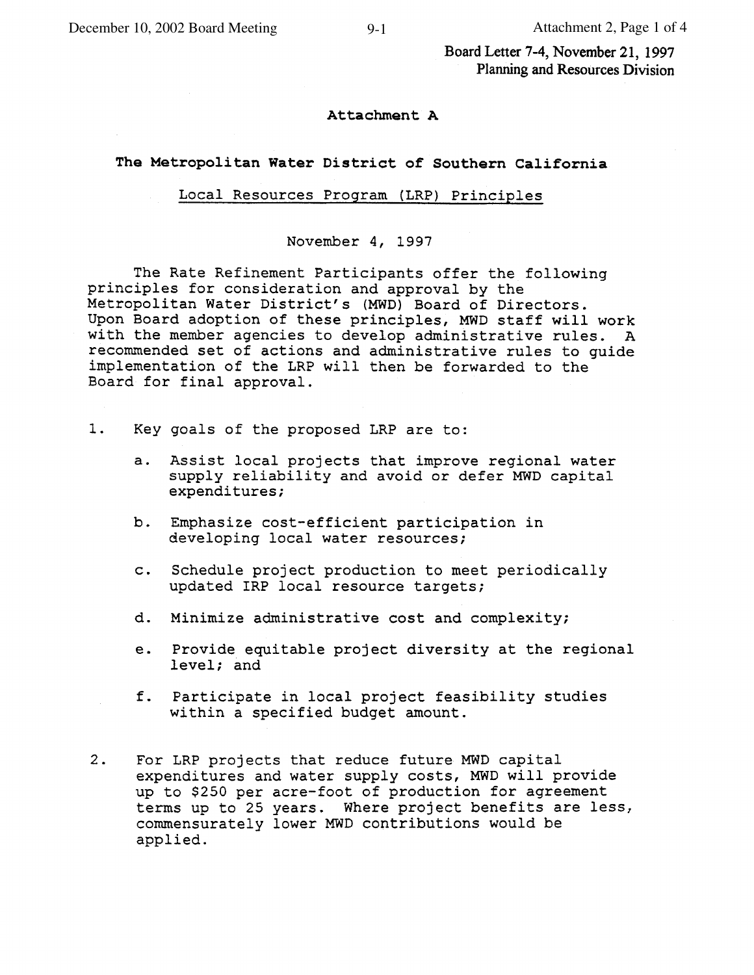Board Letter 7-4, November 21, 1997 Planning and Resources Division

#### Attachment A

#### The Metropolitan Water District of Southern California

#### Local Resources Program (LRP) Principles

November 4, 1997

The Rate Refinement Participants offer the following principles for consideration and approval by the Metropolitan Water District's (MWD) Board of Directors. Upon Board adoption of these principles, MWD staff will work with the member agencies to develop administrative rules. A recommended set of actions and administrative rules to guide implementation of the LRP will then be forwarded to the Board for final approval.

- $1.$ Key goals of the proposed LRP are to:
	- Assist local projects that improve regional water  $a.$ supply reliability and avoid or defer MWD capital expenditures;
	- Emphasize cost-efficient participation in b. developing local water resources;
	- Schedule project production to meet periodically  $C$ . updated IRP local resource targets;
	- d. Minimize administrative cost and complexity;
	- Provide equitable project diversity at the regional e. level; and
	- f. Participate in local project feasibility studies within a specified budget amount.
- $2.$ For LRP projects that reduce future MWD capital expenditures and water supply costs, MWD will provide up to \$250 per acre-foot of production for agreement terms up to 25 years. Where project benefits are less, commensurately lower MWD contributions would be applied.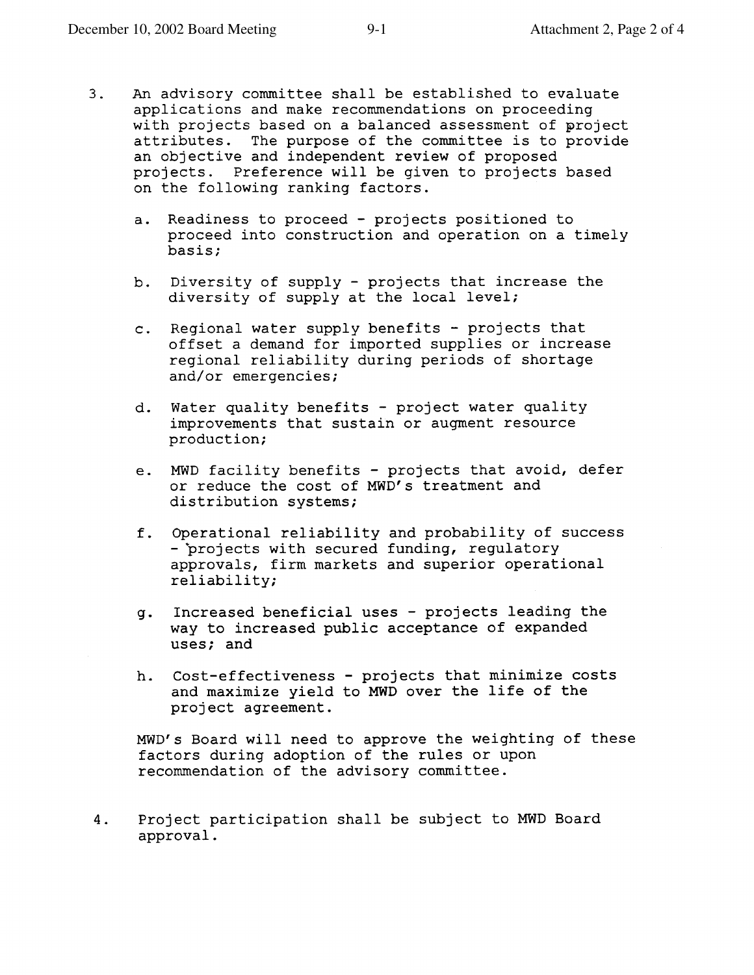- $3.$ An advisory committee shall be established to evaluate applications and make recommendations on proceeding with projects based on a balanced assessment of project attributes. The purpose of the committee is to provide an objective and independent review of proposed projects. Preference will be given to projects based on the following ranking factors.
	- a. Readiness to proceed projects positioned to proceed into construction and operation on a timely basis;
	- b. Diversity of supply projects that increase the diversity of supply at the local level;
	- c. Regional water supply benefits projects that offset a demand for imported supplies or increase regional reliability during periods of shortage and/or emergencies;
	- d. Water quality benefits project water quality improvements that sustain or augment resource production;
	- e. MWD facility benefits projects that avoid, defer or reduce the cost of MWD's treatment and distribution systems;
	- f. Operational reliability and probability of success - projects with secured funding, requlatory approvals, firm markets and superior operational reliability;
	- Increased beneficial uses projects leading the  $g_{\bullet}$ way to increased public acceptance of expanded uses; and
	- h. Cost-effectiveness projects that minimize costs and maximize yield to MWD over the life of the project agreement.

MWD's Board will need to approve the weighting of these factors during adoption of the rules or upon recommendation of the advisory committee.

Project participation shall be subject to MWD Board 4. approval.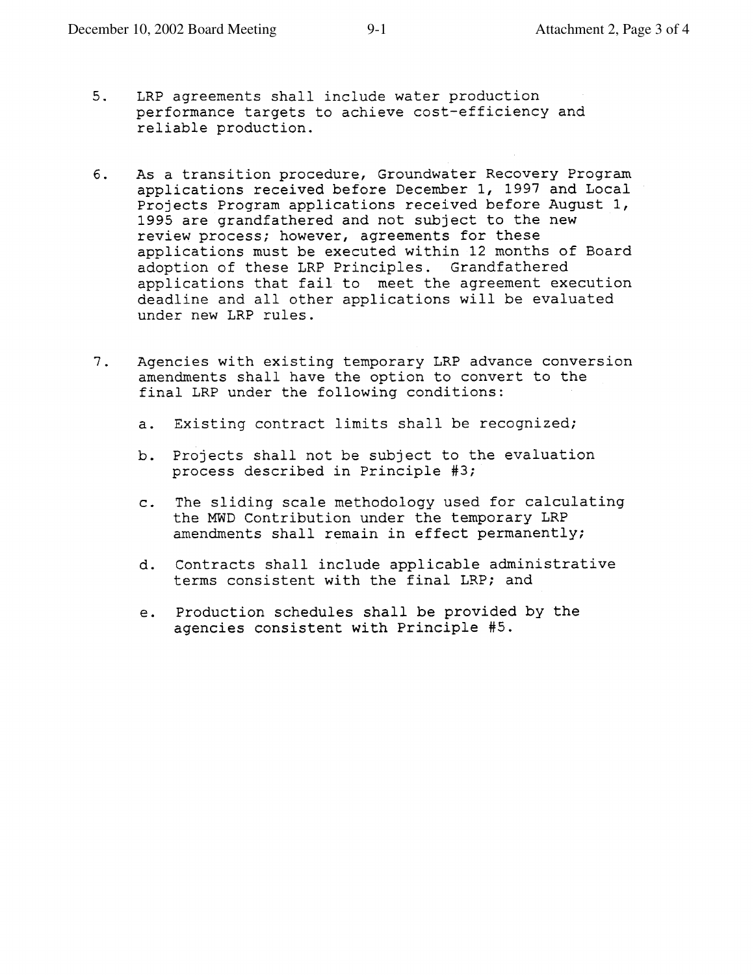- $5.$ LRP agreements shall include water production performance targets to achieve cost-efficiency and reliable production.
- As a transition procedure, Groundwater Recovery Program б. applications received before December 1, 1997 and Local Projects Program applications received before August 1, 1995 are grandfathered and not subject to the new review process; however, agreements for these applications must be executed within 12 months of Board adoption of these LRP Principles. Grandfathered applications that fail to meet the agreement execution deadline and all other applications will be evaluated under new LRP rules.
- $7.$ Agencies with existing temporary LRP advance conversion amendments shall have the option to convert to the final LRP under the following conditions:
	- a. Existing contract limits shall be recognized;
	- b. Projects shall not be subject to the evaluation process described in Principle #3;
	- c. The sliding scale methodology used for calculating the MWD Contribution under the temporary LRP amendments shall remain in effect permanently;
	- d. Contracts shall include applicable administrative terms consistent with the final LRP; and
	- Production schedules shall be provided by the  $e<sub>1</sub>$ agencies consistent with Principle #5.